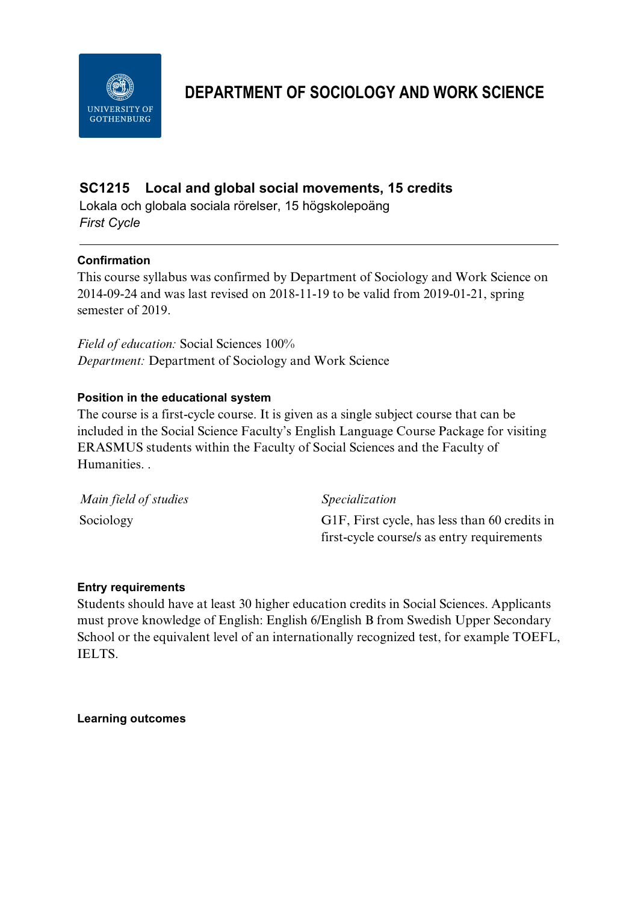

# **DEPARTMENT OF SOCIOLOGY AND WORK SCIENCE**

# **SC1215 Local and global social movements, 15 credits**

Lokala och globala sociala rörelser, 15 högskolepoäng *First Cycle*

# **Confirmation**

This course syllabus was confirmed by Department of Sociology and Work Science on 2014-09-24 and was last revised on 2018-11-19 to be valid from 2019-01-21, spring semester of 2019.

*Field of education:* Social Sciences 100% *Department:* Department of Sociology and Work Science

# **Position in the educational system**

The course is a first-cycle course. It is given as a single subject course that can be included in the Social Science Faculty's English Language Course Package for visiting ERASMUS students within the Faculty of Social Sciences and the Faculty of Humanities. .

| Main field of studies | <i>Specialization</i>                         |
|-----------------------|-----------------------------------------------|
| Sociology             | G1F, First cycle, has less than 60 credits in |
|                       | first-cycle course/s as entry requirements    |

#### **Entry requirements**

Students should have at least 30 higher education credits in Social Sciences. Applicants must prove knowledge of English: English 6/English B from Swedish Upper Secondary School or the equivalent level of an internationally recognized test, for example TOEFL, IELTS.

**Learning outcomes**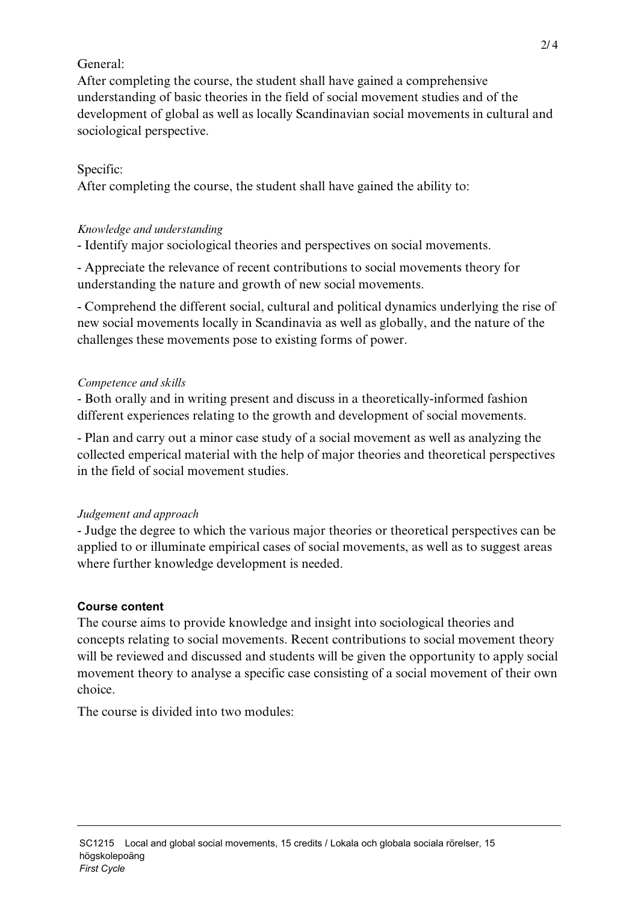# General:

After completing the course, the student shall have gained a comprehensive understanding of basic theories in the field of social movement studies and of the development of global as well as locally Scandinavian social movements in cultural and sociological perspective.

# Specific:

After completing the course, the student shall have gained the ability to:

# *Knowledge and understanding*

- Identify major sociological theories and perspectives on social movements.

- Appreciate the relevance of recent contributions to social movements theory for understanding the nature and growth of new social movements.

- Comprehend the different social, cultural and political dynamics underlying the rise of new social movements locally in Scandinavia as well as globally, and the nature of the challenges these movements pose to existing forms of power.

# *Competence and skills*

- Both orally and in writing present and discuss in a theoretically-informed fashion different experiences relating to the growth and development of social movements.

- Plan and carry out a minor case study of a social movement as well as analyzing the collected emperical material with the help of major theories and theoretical perspectives in the field of social movement studies.

#### *Judgement and approach*

- Judge the degree to which the various major theories or theoretical perspectives can be applied to or illuminate empirical cases of social movements, as well as to suggest areas where further knowledge development is needed.

# **Course content**

The course aims to provide knowledge and insight into sociological theories and concepts relating to social movements. Recent contributions to social movement theory will be reviewed and discussed and students will be given the opportunity to apply social movement theory to analyse a specific case consisting of a social movement of their own choice.

The course is divided into two modules: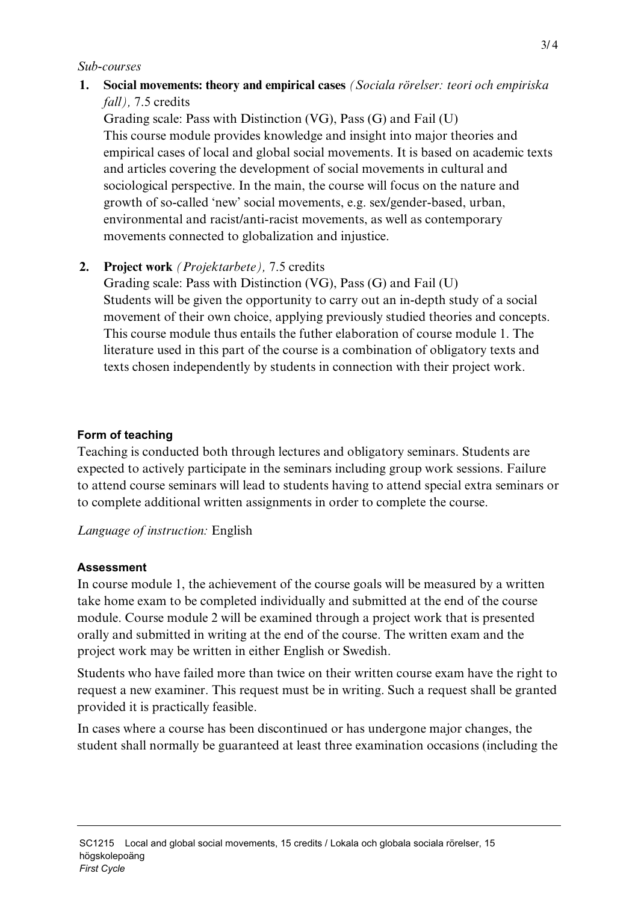#### *Sub-courses*

**1. Social movements: theory and empirical cases** *(Sociala rörelser: teori och empiriska fall),* 7.5 credits

Grading scale: Pass with Distinction (VG), Pass (G) and Fail (U) This course module provides knowledge and insight into major theories and empirical cases of local and global social movements. It is based on academic texts and articles covering the development of social movements in cultural and sociological perspective. In the main, the course will focus on the nature and growth of so-called 'new' social movements, e.g. sex/gender-based, urban, environmental and racist/anti-racist movements, as well as contemporary movements connected to globalization and injustice.

# **2. Project work** *(Projektarbete),* 7.5 credits

Grading scale: Pass with Distinction (VG), Pass (G) and Fail (U) Students will be given the opportunity to carry out an in-depth study of a social movement of their own choice, applying previously studied theories and concepts. This course module thus entails the futher elaboration of course module 1. The literature used in this part of the course is a combination of obligatory texts and texts chosen independently by students in connection with their project work.

#### **Form of teaching**

Teaching is conducted both through lectures and obligatory seminars. Students are expected to actively participate in the seminars including group work sessions. Failure to attend course seminars will lead to students having to attend special extra seminars or to complete additional written assignments in order to complete the course.

*Language of instruction:* English

#### **Assessment**

In course module 1, the achievement of the course goals will be measured by a written take home exam to be completed individually and submitted at the end of the course module. Course module 2 will be examined through a project work that is presented orally and submitted in writing at the end of the course. The written exam and the project work may be written in either English or Swedish.

Students who have failed more than twice on their written course exam have the right to request a new examiner. This request must be in writing. Such a request shall be granted provided it is practically feasible.

In cases where a course has been discontinued or has undergone major changes, the student shall normally be guaranteed at least three examination occasions (including the